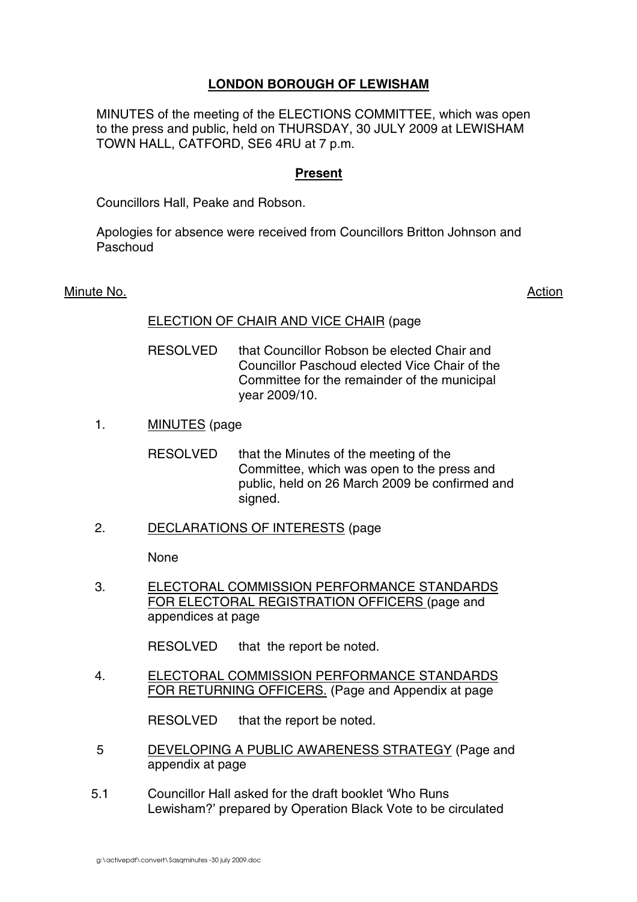# **LONDON BOROUGH OF LEWISHAM**

MINUTES of the meeting of the ELECTIONS COMMITTEE, which was open to the press and public, held on THURSDAY, 30 JULY 2009 at LEWISHAM TOWN HALL, CATFORD, SE6 4RU at 7 p.m.

## **Present**

Councillors Hall, Peake and Robson.

Apologies for absence were received from Councillors Britton Johnson and Paschoud

#### Minute No. 2008 2012 2022 2023 2024 2022 2023 2024 2022 2023 2024 2022 2023 2024 2022 2023 2024 2022 2023 2024

#### ELECTION OF CHAIR AND VICE CHAIR (page

- RESOLVED that Councillor Robson be elected Chair and Councillor Paschoud elected Vice Chair of the Committee for the remainder of the municipal year 2009/10.
- 1. MINUTES (page
	- RESOLVED that the Minutes of the meeting of the Committee, which was open to the press and public, held on 26 March 2009 be confirmed and signed.
- 2. DECLARATIONS OF INTERESTS (page

None

3. ELECTORAL COMMISSION PERFORMANCE STANDARDS FOR ELECTORAL REGISTRATION OFFICERS (page and appendices at page

RESOLVED that the report be noted.

4. ELECTORAL COMMISSION PERFORMANCE STANDARDS FOR RETURNING OFFICERS. (Page and Appendix at page

RESOLVED that the report be noted.

- 5 DEVELOPING A PUBLIC AWARENESS STRATEGY (Page and appendix at page
- 5.1 Councillor Hall asked for the draft booklet 'Who Runs Lewisham?' prepared by Operation Black Vote to be circulated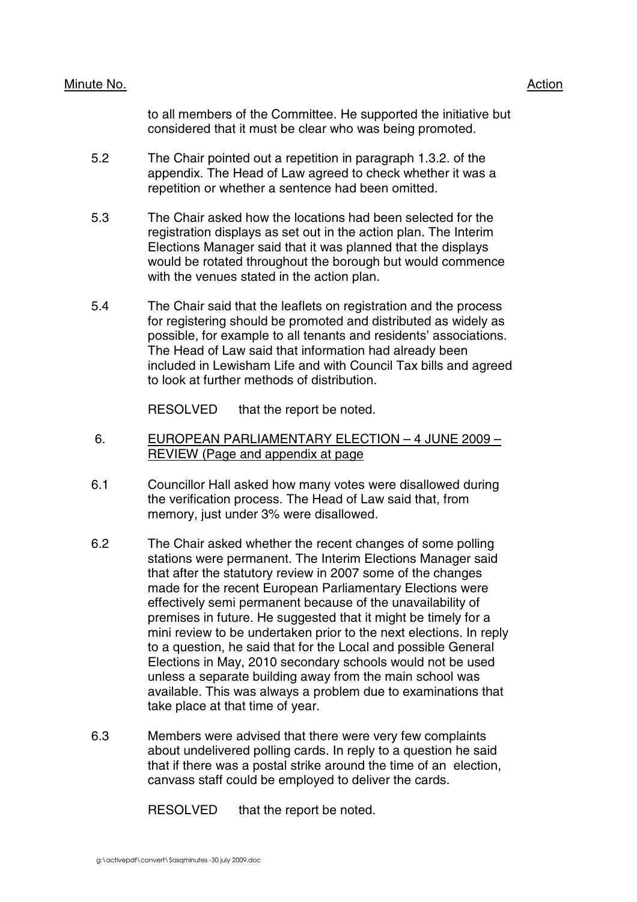### Minute No. 2008 2012 2022 2023 2024 2022 2022 2023 2024 2022 2023 2024 2022 2023 2024 2022 2023 2024 2022 2023

to all members of the Committee. He supported the initiative but considered that it must be clear who was being promoted.

- 5.2 The Chair pointed out a repetition in paragraph 1.3.2. of the appendix. The Head of Law agreed to check whether it was a repetition or whether a sentence had been omitted.
- 5.3 The Chair asked how the locations had been selected for the registration displays as set out in the action plan. The Interim Elections Manager said that it was planned that the displays would be rotated throughout the borough but would commence with the venues stated in the action plan.
- 5.4 The Chair said that the leaflets on registration and the process for registering should be promoted and distributed as widely as possible, for example to all tenants and residents' associations. The Head of Law said that information had already been included in Lewisham Life and with Council Tax bills and agreed to look at further methods of distribution.

RESOLVED that the report be noted.

- 6. EUROPEAN PARLIAMENTARY ELECTION 4 JUNE 2009 REVIEW (Page and appendix at page
- 6.1 Councillor Hall asked how many votes were disallowed during the verification process. The Head of Law said that, from memory, just under 3% were disallowed.
- 6.2 The Chair asked whether the recent changes of some polling stations were permanent. The Interim Elections Manager said that after the statutory review in 2007 some of the changes made for the recent European Parliamentary Elections were effectively semi permanent because of the unavailability of premises in future. He suggested that it might be timely for a mini review to be undertaken prior to the next elections. In reply to a question, he said that for the Local and possible General Elections in May, 2010 secondary schools would not be used unless a separate building away from the main school was available. This was always a problem due to examinations that take place at that time of year.
- 6.3 Members were advised that there were very few complaints about undelivered polling cards. In reply to a question he said that if there was a postal strike around the time of an election, canvass staff could be employed to deliver the cards.

RESOLVED that the report be noted.